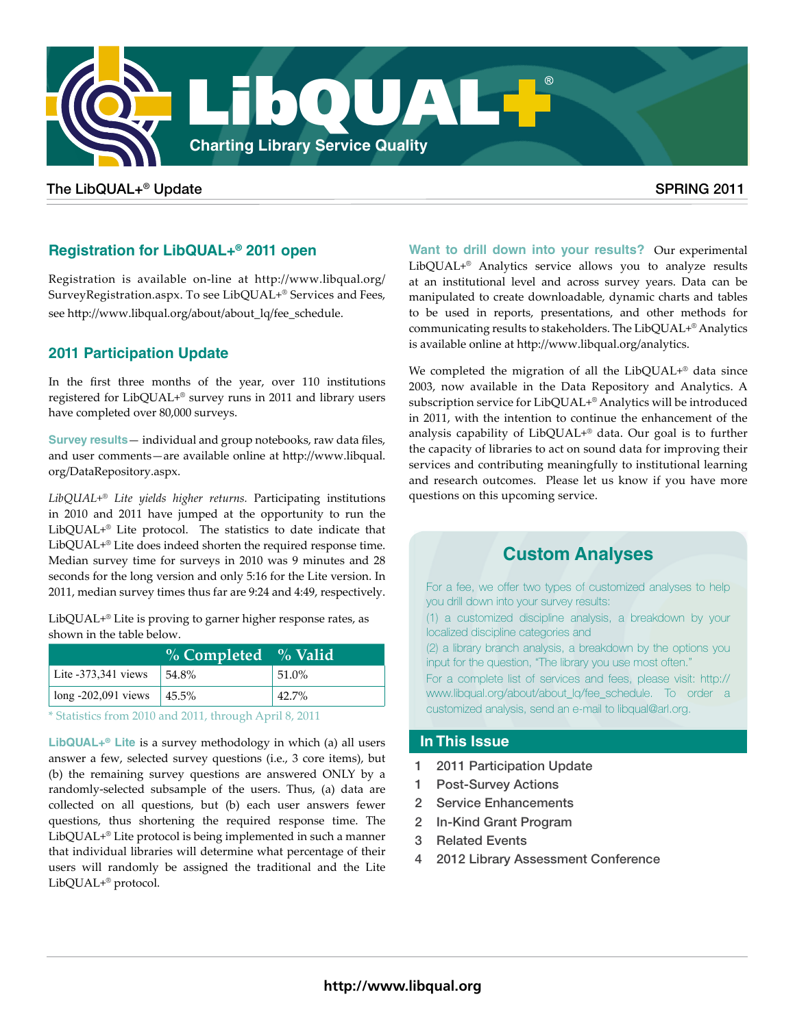

# The LibQUAL+® Update SPRING 2011

# **Registration for LibQUAL+® 2011 open**

Registration is available on-line at [http://www.libqual.org/](http://www.libqual.org/SurveyRegistration.aspx) [SurveyRegistration.aspx.](http://www.libqual.org/SurveyRegistration.aspx) To see LibQUAL+® Services and Fees, see [http://www.libqual.org/about/about\\_lq/fee\\_schedule](http://www.libqual.org/about/about_lq/fee_schedule).

# **2011 Participation Update**

In the first three months of the year, over 110 institutions registered for LibQUAL+® survey runs in 2011 and library users have completed over 80,000 surveys.

**Survey results**— individual and group notebooks, raw data files, and user comments—are available online at [http://www.libqual.](http://www.libqual.org/DataRepository.aspx) [org/DataRepository.aspx.](http://www.libqual.org/DataRepository.aspx)

*LibQUAL+® Lite yields higher returns.* Participating institutions in 2010 and 2011 have jumped at the opportunity to run the LibQUAL+® Lite protocol. The statistics to date indicate that LibQUAL+® Lite does indeed shorten the required response time. Median survey time for surveys in 2010 was 9 minutes and 28 seconds for the long version and only 5:16 for the Lite version. In 2011, median survey times thus far are 9:24 and 4:49, respectively.

LibQUAL+® Lite is proving to garner higher response rates, as shown in the table below.

|                       | % Completed % Valid |          |
|-----------------------|---------------------|----------|
| Lite $-373,341$ views | 54.8%               | $51.0\%$ |
| $long -202,091$ views | 145.5%              | 42.7%    |

\* Statistics from 2010 and 2011, through April 8, 2011

**LibQUAL+® Lite** is a survey methodology in which (a) all users answer a few, selected survey questions (i.e., 3 core items), but (b) the remaining survey questions are answered ONLY by a randomly-selected subsample of the users. Thus, (a) data are collected on all questions, but (b) each user answers fewer questions, thus shortening the required response time. The LibQUAL+® Lite protocol is being implemented in such a manner that individual libraries will determine what percentage of their users will randomly be assigned the traditional and the Lite LibQUAL+® protocol.

**[Want to drill down into your results?](http://www.libqual.org/analytics)** Our experimental LibQUAL+® Analytics service allows you to analyze results at an institutional level and across survey years. Data can be manipulated to create downloadable, dynamic charts and tables to be used in reports, presentations, and other methods for communicating results to stakeholders. The LibQUAL+® Analytics is available online at [http://www.libqual.org/analytics.](http://www.libqual.org/analytics)

We completed the migration of all the LibQUAL+® data since 2003, now available in the Data Repository and Analytics. A subscription service for LibQUAL+® Analytics will be introduced in 2011, with the intention to continue the enhancement of the analysis capability of LibQUAL+® data. Our goal is to further the capacity of libraries to act on sound data for improving their services and contributing meaningfully to institutional learning and research outcomes. Please let us know if you have more questions on this upcoming service.

# **[Custom Analyses](http://www.libqual.org/about/about_lq/fee_schedule)**

For a fee, we offer two types of customized analyses to help you drill down into your survey results: (1) a customized discipline analysis, a breakdown by your localized discipline categories and (2) a library branch analysis, a breakdown by the options you input for the question, "The library you use most often." For a complete list of services and fees, please visit: [http://](http://www.libqual.org/about/about_lq/fee_schedule) [www.libqual.org/about/about\\_lq/fee\\_schedule.](http://www.libqual.org/about/about_lq/fee_schedule) To order a customized analysis, send an e-mail to libqual@arl.org.

# **In This Issue**

- 1 2011 Participation Update
- 1 Post-Survey Actions
- 2 Service Enhancements
- 2 In-Kind Grant Program
- 3 Related Events
- 2012 Library Assessment Conference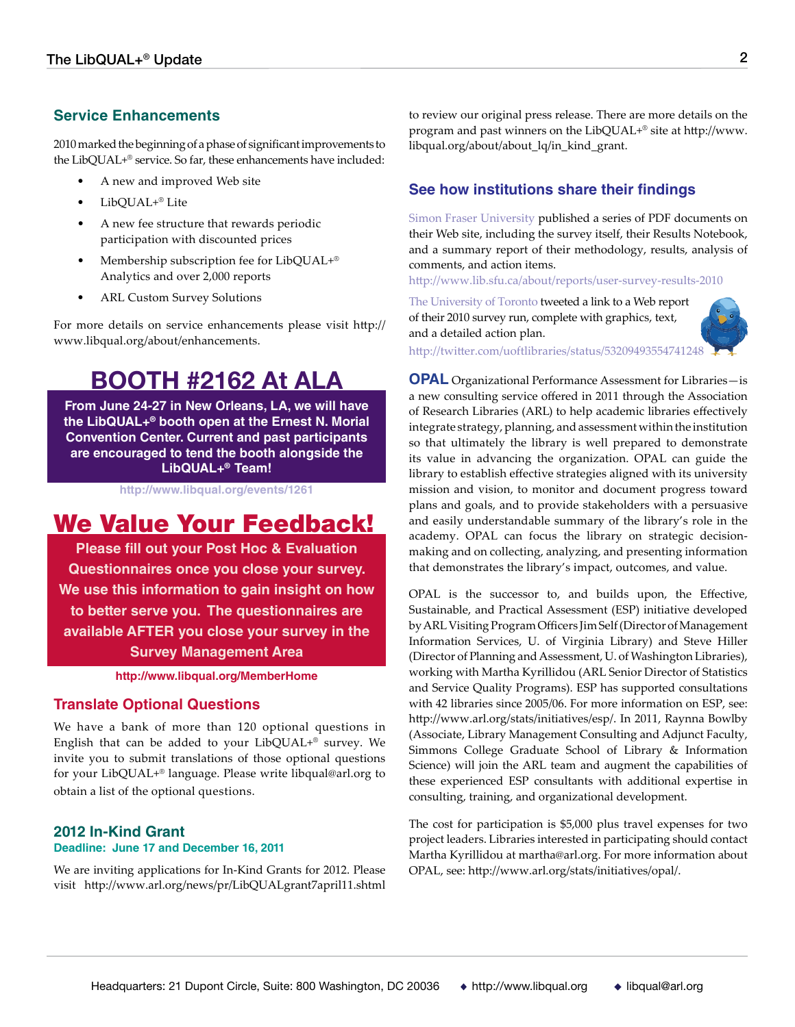# **Service Enhancements**

2010 marked the beginning of a phase of significant improvements to the LibQUAL+® service. So far, these enhancements have included:

- A new and improved Web site
- LibQUAL+® Lite
- A new fee structure that rewards periodic participation with discounted prices
- Membership subscription fee for LibQUAL+® Analytics and over 2,000 reports
- ARL Custom Survey Solutions

[For more details on service enhancements please visit http://](http://www.libqual.org/about/enhancements) [www.libqual.org/about/enhancements.](http://www.libqual.org/about/enhancements)

# **[BOOTH #2162 At ALA](http://www.libqual.org/events/1261)**

**[From June 24-27 in New Orleans, LA, we will have](http://www.libqual.org/events/1261)  [the LibQUAL+® booth open at the Ernest N. Morial](http://www.libqual.org/events/1261)  [Convention Center. Current and past participants](http://www.libqual.org/events/1261)  [are encouraged to tend the booth alongside the](http://www.libqual.org/events/1261)  [LibQUAL+® Team!](http://www.libqual.org/events/1261)**

**<http://www.libqual.org/events/1261>**

# [We Value Your Feedback!](http://libqual.org/MemberHome)

**[Please fill out your Post Hoc & Evaluation](http://libqual.org/MemberHome)  [Questionnaires once you close your survey.](http://libqual.org/MemberHome)  [We use this information to gain insight on how](http://libqual.org/MemberHome)  [to better serve you. The questionnaires are](http://libqual.org/MemberHome)  [available AFTER you close your survey in the](http://libqual.org/MemberHome)  [Survey Management Area](http://libqual.org/MemberHome)** 

**[http://www.libqual.org/MemberHome](http://libqual.org/MemberHome)**

# **Translate Optional Questions**

We have a bank of more than 120 optional questions in English that can be added to your LibQUAL+® survey. We invite you to submit translations of those optional questions for your LibQUAL+® language. Please write libqual@arl.org to obtain a list of the optional questions.

# **2012 In-Kind Grant**

### **Deadline: June 17 and December 16, 2011**

We are inviting applications for In-Kind Grants for 2012. Please visit http://www.arl.org/news/pr/LibQUALgrant7april11.shtml to review our original press release. There are more details on the program and past winners on the LibQUAL+® site at [http://www.](http://www.libqual.org/about/about_lq/in_kind_grant) [libqual.org/about/about\\_lq/in\\_kind\\_grant](http://www.libqual.org/about/about_lq/in_kind_grant).

# **See how institutions share their findings**

[Simon Fraser University](http://www.lib.sfu.ca/about/reports/user-survey-results-2010
) published a series of PDF documents on their Web site, including the survey itself, their Results Notebook, and a summary report of their methodology, results, analysis of comments, and action items.

http://www.lib.sfu.ca/about/reports/user-survey-results-2010

[The University of Toronto](http://twitter.com/uoftlibraries/status/53209493554741248) tweeted a link to a Web report of their 2010 survey run, complete with graphics, text, and a detailed action plan.



http://twitter.com/uoftlibraries/status/5320949355474124[8](http://twitter.com/uoftlibraries/status/53209493554741248)

**OPAL** [Organizational Performance Assessment for Libraries—is](http://www.arl.org/stats/initiatives/opal/)  [a new consulting service offered in 2011 through the Association](http://www.arl.org/stats/initiatives/opal/)  [of Research Libraries \(ARL\) to help academic libraries effectively](http://www.arl.org/stats/initiatives/opal/) [integrate strategy, planning, and assessment within the institution](http://www.arl.org/stats/initiatives/opal/)  [so that ultimately the library is well prepared to demonstrate](http://www.arl.org/stats/initiatives/opal/)  [its value in advancing the organization. OPAL can guide the](http://www.arl.org/stats/initiatives/opal/)  [library to establish effective strategies aligned with its university](http://www.arl.org/stats/initiatives/opal/) [mission and vision, to monitor and document progress toward](http://www.arl.org/stats/initiatives/opal/) [plans and goals, and to provide stakeholders with a persuasive](http://www.arl.org/stats/initiatives/opal/) [and easily understandable summary of the library's role in the](http://www.arl.org/stats/initiatives/opal/) [academy. OPAL can focus the library on strategic decision](http://www.arl.org/stats/initiatives/opal/)[making and on collecting, analyzing, and presenting information](http://www.arl.org/stats/initiatives/opal/)  [that demonstrates the library's impact, outcomes, and value.](http://www.arl.org/stats/initiatives/opal/)

OPAL is the successor to, and builds upon, the Effective, Sustainable, and Practical Assessment (ESP) initiative developed by ARL Visiting Program Officers Jim Self (Director of Management Information Services, U. of Virginia Library) and Steve Hiller (Director of Planning and Assessment, U. of Washington Libraries), working with Martha Kyrillidou (ARL Senior Director of Statistics and Service Quality Programs). ESP has supported consultations with 42 libraries since 2005/06. For more information on ESP, see: http://www.arl.org/stats/initiatives/esp/. In 2011, Raynna Bowlby (Associate, Library Management Consulting and Adjunct Faculty, Simmons College Graduate School of Library & Information Science) will join the ARL team and augment the capabilities of these experienced ESP consultants with additional expertise in consulting, training, and organizational development.

The cost for participation is \$5,000 plus travel expenses for two project leaders. Libraries interested in participating should contact Martha Kyrillidou at martha@arl.org. For more information about OPAL, see: http://www.arl.org/stats/initiatives/opal/.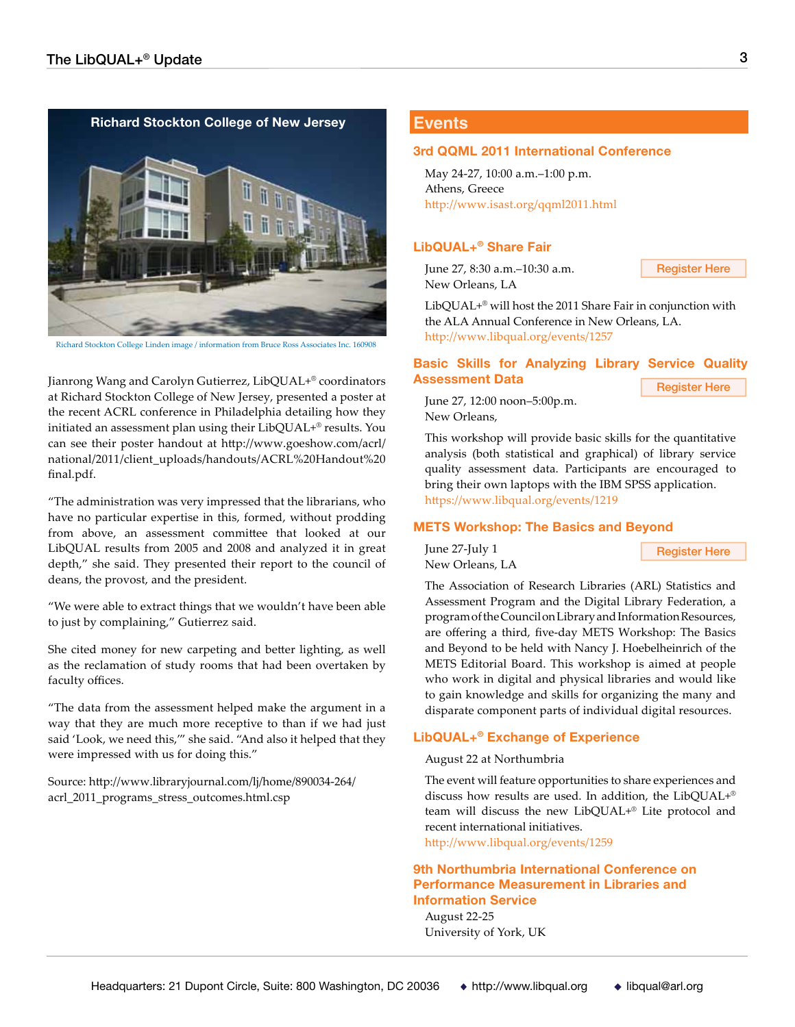#### **[Richard Stockton College of New Jersey](http://www.goeshow.com/acrl/national/2011/client_uploads/handouts/ACRL%20Handout%20final.pdf.)**



Richard Stockton College Linden image / information from Bruce Ross Associates Inc. 160908

Jianrong Wang and Carolyn Gutierrez, LibQUAL+® coordinators **Assessment Data Carolination** [Register Here](http://www.libqual.org/events/1219) at Richard Stockton College of New Jersey, presented a poster at the recent ACRL conference in Philadelphia detailing how they initiated an assessment plan using their LibQUAL+® results. You can see their poster handout at [http://www.goeshow.com/acrl/](http://www.goeshow.com/acrl/national/2011/client_uploads/handouts/ACRL%20Handout%20final.pdf) [national/2011/client\\_uploads/handouts/ACRL%20Handout%20](http://www.goeshow.com/acrl/national/2011/client_uploads/handouts/ACRL%20Handout%20final.pdf) [final.pdf.](http://www.goeshow.com/acrl/national/2011/client_uploads/handouts/ACRL%20Handout%20final.pdf)

"The administration was very impressed that the librarians, who have no particular expertise in this, formed, without prodding from above, an assessment committee that looked at our LibQUAL results from 2005 and 2008 and analyzed it in great depth," she said. They presented their report to the council of deans, the provost, and the president.

"We were able to extract things that we wouldn't have been able to just by complaining," Gutierrez said.

She cited money for new carpeting and better lighting, as well as the reclamation of study rooms that had been overtaken by faculty offices.

"The data from the assessment helped make the argument in a way that they are much more receptive to than if we had just said 'Look, we need this,'" she said. "And also it helped that they were impressed with us for doing this."

Source: [http://www.libraryjournal.com/lj/home/890034-264/](http://www.libraryjournal.com/lj/home/890034-264/acrl_2011_programs_stress_outcomes.html.csp) [acrl\\_2011\\_programs\\_stress\\_outcomes.html.csp](http://www.libraryjournal.com/lj/home/890034-264/acrl_2011_programs_stress_outcomes.html.csp)

# **[Events](http://www.libqual.org/events)**

#### **[3rd QQML 2011 International Conference](http://www.isast.org/qqml2011.html)**

May 24-27, 10:00 a.m.–1:00 p.m. Athens, Greece http://www.isast.org/qqml2011.html

#### **[LibQUAL+® Share Fair](https://www.libqual.org/events/1257)**

June 27, 8:30 a.m.–10:30 a.m. New Orleans, LA

[Register Here](https://www.formstack.com/forms/?1059529-Mb7X1n4CJq)

LibQUAL+® will host the 2011 Share Fair in conjunction with the ALA Annual Conference in New Orleans, LA. http://www.libqual.org/events/1257

#### **[Basic Skills for Analyzing Library Service Quality](https://www.libqual.org/events/1219) [Assessment Data](https://www.libqual.org/events/1219)**

June 27, 12:00 noon–5:00p.m. New Orleans,

This workshop will provide basic skills for the quantitative analysis (both statistical and graphical) of library service quality assessment data. Participants are encouraged to bring their own laptops with the IBM SPSS application. https://www.libqual.org/events/1219

#### **[METS Workshop: The Basics and Beyond](https://www.libqual.org/events/1258)**

June 27-July 1 New Orleans, LA

[Register Here](http://www.arl.org/stats/statsevents/METS-workshop.shtml)

The Association of Research Libraries (ARL) Statistics and Assessment Program and the Digital Library Federation, a program of the Council on Library and Information Resources, are offering a third, five-day METS Workshop: The Basics and Beyond to be held with Nancy J. Hoebelheinrich of the METS Editorial Board. This workshop is aimed at people who work in digital and physical libraries and would like to gain knowledge and skills for organizing the many and disparate component parts of individual digital resources.

#### **[LibQUAL+® Exchange of Experience](http://www.libqual.org/events/1259)**

August 22 at Northumbria

The event will feature opportunities to share experiences and discuss how results are used. In addition, the LibQUAL+® team will discuss the new LibQUAL+® Lite protocol and recent international initiatives.

http://www.libqual.org/events/1259

### **[9th Northumbria International Conference on](http://www.york.ac.uk/conferences/northumbria)  [Performance Measurement in Libraries and](http://www.york.ac.uk/conferences/northumbria)  [Information Service](http://www.york.ac.uk/conferences/northumbria)**

August 22-25 University of York, UK